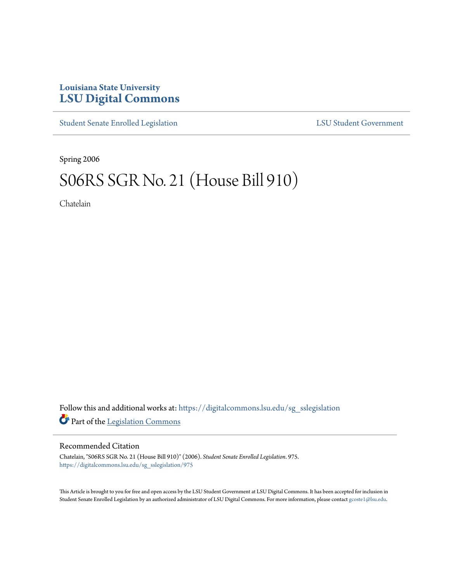## **Louisiana State University [LSU Digital Commons](https://digitalcommons.lsu.edu?utm_source=digitalcommons.lsu.edu%2Fsg_sslegislation%2F975&utm_medium=PDF&utm_campaign=PDFCoverPages)**

[Student Senate Enrolled Legislation](https://digitalcommons.lsu.edu/sg_sslegislation?utm_source=digitalcommons.lsu.edu%2Fsg_sslegislation%2F975&utm_medium=PDF&utm_campaign=PDFCoverPages) [LSU Student Government](https://digitalcommons.lsu.edu/sg?utm_source=digitalcommons.lsu.edu%2Fsg_sslegislation%2F975&utm_medium=PDF&utm_campaign=PDFCoverPages)

Spring 2006

# S06RS SGR No. 21 (House Bill 910)

Chatelain

Follow this and additional works at: [https://digitalcommons.lsu.edu/sg\\_sslegislation](https://digitalcommons.lsu.edu/sg_sslegislation?utm_source=digitalcommons.lsu.edu%2Fsg_sslegislation%2F975&utm_medium=PDF&utm_campaign=PDFCoverPages) Part of the [Legislation Commons](http://network.bepress.com/hgg/discipline/859?utm_source=digitalcommons.lsu.edu%2Fsg_sslegislation%2F975&utm_medium=PDF&utm_campaign=PDFCoverPages)

#### Recommended Citation

Chatelain, "S06RS SGR No. 21 (House Bill 910)" (2006). *Student Senate Enrolled Legislation*. 975. [https://digitalcommons.lsu.edu/sg\\_sslegislation/975](https://digitalcommons.lsu.edu/sg_sslegislation/975?utm_source=digitalcommons.lsu.edu%2Fsg_sslegislation%2F975&utm_medium=PDF&utm_campaign=PDFCoverPages)

This Article is brought to you for free and open access by the LSU Student Government at LSU Digital Commons. It has been accepted for inclusion in Student Senate Enrolled Legislation by an authorized administrator of LSU Digital Commons. For more information, please contact [gcoste1@lsu.edu.](mailto:gcoste1@lsu.edu)